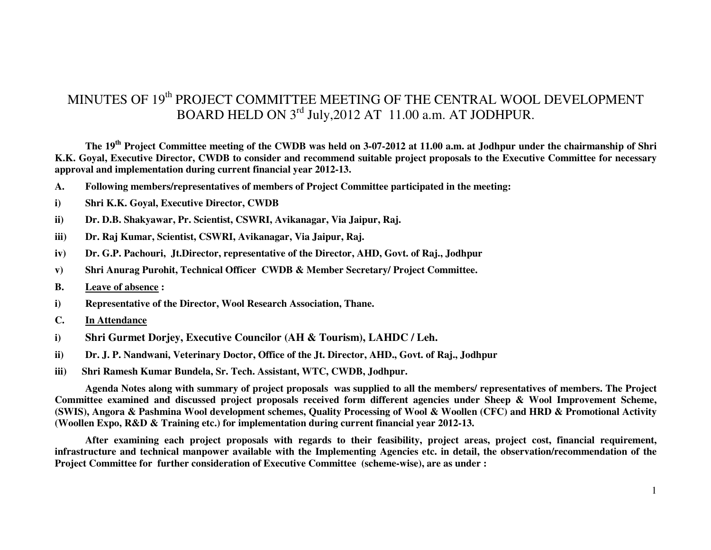# MINUTES OF 19<sup>th</sup> PROJECT COMMITTEE MEETING OF THE CENTRAL WOOL DEVELOPMENT BOARD HELD ON 3<sup>rd</sup> July, 2012 AT 11.00 a.m. AT JODHPUR.

 **The 19th Project Committee meeting of the CWDB was held on 3-07-2012 at 11.00 a.m. at Jodhpur under the chairmanship of Shri K.K. Goyal, Executive Director, CWDB to consider and recommend suitable project proposals to the Executive Committee for necessary approval and implementation during current financial year 2012-13.**

- **A. Following members/representatives of members of Project Committee participated in the meeting:**
- **i) Shri K.K. Goyal, Executive Director, CWDB**
- **ii) Dr. D.B. Shakyawar, Pr. Scientist, CSWRI, Avikanagar, Via Jaipur, Raj.**
- **iii) Dr. Raj Kumar, Scientist, CSWRI, Avikanagar, Via Jaipur, Raj.**
- **iv) Dr. G.P. Pachouri, Jt.Director, representative of the Director, AHD, Govt. of Raj., Jodhpur**
- **v) Shri Anurag Purohit, Technical Officer CWDB & Member Secretary/ Project Committee.**
- **B. Leave of absence :**
- **i) Representative of the Director, Wool Research Association, Thane.**
- **C. In Attendance**
- **i) Shri Gurmet Dorjey, Executive Councilor (AH & Tourism), LAHDC / Leh.**
- **ii) Dr. J. P. Nandwani, Veterinary Doctor, Office of the Jt. Director, AHD., Govt. of Raj., Jodhpur**
- **iii) Shri Ramesh Kumar Bundela, Sr. Tech. Assistant, WTC, CWDB, Jodhpur.**

 **Agenda Notes along with summary of project proposals was supplied to all the members/ representatives of members. The Project Committee examined and discussed project proposals received form different agencies under Sheep & Wool Improvement Scheme, (SWIS), Angora & Pashmina Wool development schemes, Quality Processing of Wool & Woollen (CFC) and HRD & Promotional Activity (Woollen Expo, R&D & Training etc.) for implementation during current financial year 2012-13.** 

 **After examining each project proposals with regards to their feasibility, project areas, project cost, financial requirement, infrastructure and technical manpower available with the Implementing Agencies etc. in detail, the observation/recommendation of the Project Committee for further consideration of Executive Committee (scheme-wise), are as under :**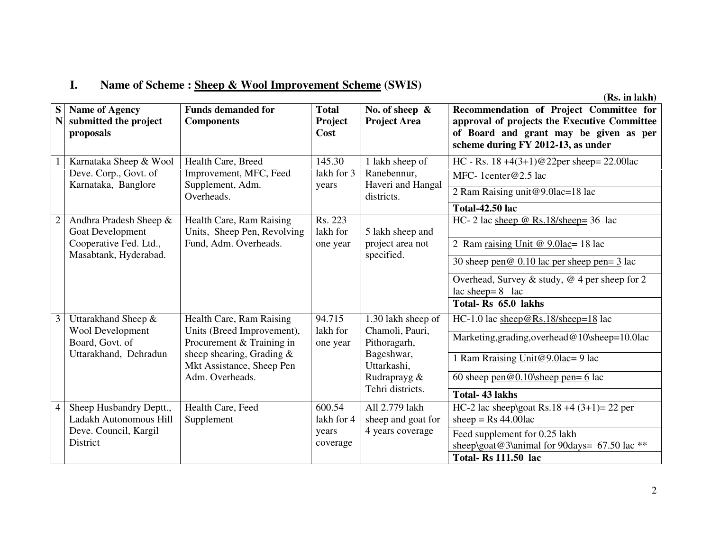#### **I.Name of Scheme : Sheep & Wool Improvement Scheme (SWIS)**

| S<br>$\mathbf N$ | <b>Name of Agency</b><br>submitted the project<br>proposals                                   | <b>Funds demanded for</b><br><b>Components</b>                                                                                                                      | <b>Total</b><br>Project<br>Cost           | No. of sheep $\&$<br><b>Project Area</b>                                                                               | Recommendation of Project Committee for<br>approval of projects the Executive Committee<br>of Board and grant may be given as per<br>scheme during FY 2012-13, as under                                                              |
|------------------|-----------------------------------------------------------------------------------------------|---------------------------------------------------------------------------------------------------------------------------------------------------------------------|-------------------------------------------|------------------------------------------------------------------------------------------------------------------------|--------------------------------------------------------------------------------------------------------------------------------------------------------------------------------------------------------------------------------------|
|                  | Karnataka Sheep & Wool<br>Deve. Corp., Govt. of<br>Karnataka, Banglore                        | Health Care, Breed<br>Improvement, MFC, Feed<br>Supplement, Adm.<br>Overheads.                                                                                      | 145.30<br>lakh for 3<br>years             | 1 lakh sheep of<br>Ranebennur,<br>Haveri and Hangal<br>districts.                                                      | HC - Rs. $18 + 4(3+1)$ @22per sheep= 22.00lac<br>MFC-1center@2.5 lac<br>2 Ram Raising unit@9.0lac=18 lac<br><b>Total-42.50 lac</b>                                                                                                   |
|                  | Andhra Pradesh Sheep &<br>Goat Development<br>Cooperative Fed. Ltd.,<br>Masabtank, Hyderabad. | Health Care, Ram Raising<br>Units, Sheep Pen, Revolving<br>Fund, Adm. Overheads.                                                                                    | Rs. 223<br>lakh for<br>one year           | 5 lakh sheep and<br>project area not<br>specified.                                                                     | HC- 2 lac sheep $@$ Rs.18/sheep= 36 lac<br>2 Ram raising Unit @ 9.0lac= 18 lac<br>30 sheep pen $\& 0.10$ lac per sheep pen = $3$ lac<br>Overhead, Survey & study, $@$ 4 per sheep for 2<br>$lac\,sheep=8$ lac<br>Total-Rs 65.0 lakhs |
| 3                | Uttarakhand Sheep &<br>Wool Development<br>Board, Govt. of<br>Uttarakhand, Dehradun           | Health Care, Ram Raising<br>Units (Breed Improvement),<br>Procurement & Training in<br>sheep shearing, Grading $\&$<br>Mkt Assistance, Sheep Pen<br>Adm. Overheads. | 94.715<br>lakh for<br>one year            | 1.30 lakh sheep of<br>Chamoli, Pauri,<br>Pithoragarh,<br>Bageshwar,<br>Uttarkashi,<br>Rudraprayg &<br>Tehri districts. | HC-1.0 lac sheep@Rs.18/sheep=18 lac<br>Marketing, grading, overhead@10\sheep=10.0lac<br>1 Ram Rraising Unit@9.0lac=9 lac<br>60 sheep pen $@0.10$ sheep pen= 6 lac<br><b>Total-43 lakhs</b>                                           |
| 4                | Sheep Husbandry Deptt.,<br>Ladakh Autonomous Hill<br>Deve. Council, Kargil<br>District        | Health Care, Feed<br>Supplement                                                                                                                                     | 600.54<br>lakh for 4<br>years<br>coverage | All 2.779 lakh<br>sheep and goat for<br>4 years coverage                                                               | HC-2 lac sheep\goat Rs.18 +4 $(3+1)= 22$ per<br>sheep = $Rs\,44.00$ lac<br>Feed supplement for 0.25 lakh<br>sheep\goat@3\animal for 90days= 67.50 lac **<br><b>Total-Rs 111.50 lac</b>                                               |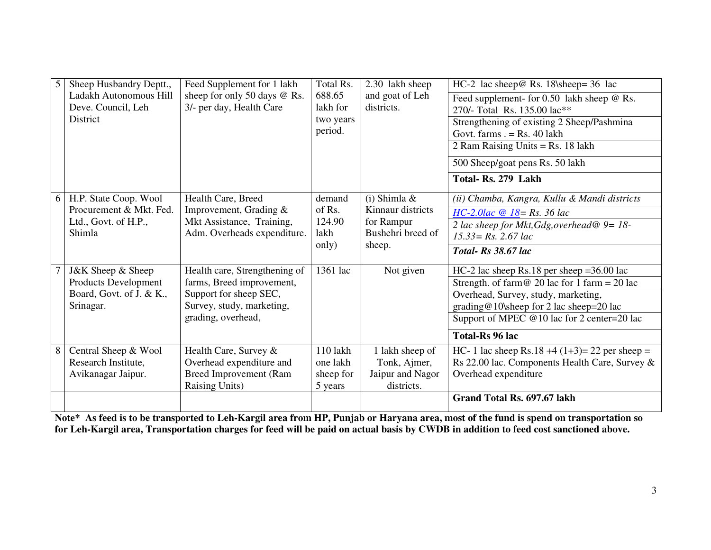| 5 <sup>1</sup> | Sheep Husbandry Deptt.,  | Feed Supplement for 1 lakh    | Total Rs. | 2.30 lakh sheep   | HC-2 lac sheep@ Rs. 18\sheep= 36 lac                      |
|----------------|--------------------------|-------------------------------|-----------|-------------------|-----------------------------------------------------------|
|                | Ladakh Autonomous Hill   | sheep for only 50 days @ Rs.  | 688.65    | and goat of Leh   | Feed supplement- for 0.50 lakh sheep @ Rs.                |
|                | Deve. Council, Leh       | 3/- per day, Health Care      | lakh for  | districts.        | 270/- Total Rs. 135.00 lac**                              |
|                | <b>District</b>          |                               | two years |                   | Strengthening of existing 2 Sheep/Pashmina                |
|                |                          |                               | period.   |                   | Govt. farms $=$ Rs. 40 lakh                               |
|                |                          |                               |           |                   | 2 Ram Raising Units = Rs. 18 lakh                         |
|                |                          |                               |           |                   | 500 Sheep/goat pens Rs. 50 lakh                           |
|                |                          |                               |           |                   | Total-Rs. 279 Lakh                                        |
| 6              | H.P. State Coop. Wool    | Health Care, Breed            | demand    | $(i)$ Shimla &    | (ii) Chamba, Kangra, Kullu & Mandi districts              |
|                | Procurement & Mkt. Fed.  | Improvement, Grading &        | of Rs.    | Kinnaur districts | $HC-2.0lac \ @ \ 18 = Rs. 36 lac$                         |
|                | Ltd., Govt. of H.P.,     | Mkt Assistance, Training,     | 124.90    | for Rampur        | 2 lac sheep for Mkt, Gdg, overhead@ $9 = 18$ -            |
|                | Shimla                   | Adm. Overheads expenditure.   | lakh      | Bushehri breed of | $15.33 = Rs$ , 2.67 lac                                   |
|                |                          |                               | only)     | sheep.            | Total-Rs 38.67 lac                                        |
|                | J&K Sheep & Sheep        | Health care, Strengthening of | 1361 lac  | Not given         | $HC-2$ lac sheep Rs.18 per sheep = 36.00 lac              |
|                | Products Development     | farms, Breed improvement,     |           |                   | Strength. of farm $\omega$ 20 lac for 1 farm = 20 lac     |
|                | Board, Govt. of J. & K., | Support for sheep SEC,        |           |                   | Overhead, Survey, study, marketing,                       |
|                | Srinagar.                | Survey, study, marketing,     |           |                   | $\text{grading@10}\simeq 10$ sheep for 2 lac sheep=20 lac |
|                |                          | grading, overhead,            |           |                   | Support of MPEC $@10$ lac for 2 center=20 lac             |
|                |                          |                               |           |                   | Total-Rs 96 lac                                           |
| 8              | Central Sheep & Wool     | Health Care, Survey &         | 110 lakh  | 1 lakh sheep of   | HC- 1 lac sheep Rs.18 +4 $(1+3)= 22$ per sheep =          |
|                | Research Institute,      | Overhead expenditure and      | one lakh  | Tonk, Ajmer,      | Rs 22.00 lac. Components Health Care, Survey &            |
|                | Avikanagar Jaipur.       | <b>Breed Improvement (Ram</b> | sheep for | Jaipur and Nagor  | Overhead expenditure                                      |
|                |                          | <b>Raising Units)</b>         | 5 years   | districts.        |                                                           |
|                |                          |                               |           |                   | Grand Total Rs. 697.67 lakh                               |

**Note\* As feed is to be transported to Leh-Kargil area from HP, Punjab or Haryana area, most of the fund is spend on transportation so for Leh-Kargil area, Transportation charges for feed will be paid on actual basis by CWDB in addition to feed cost sanctioned above.**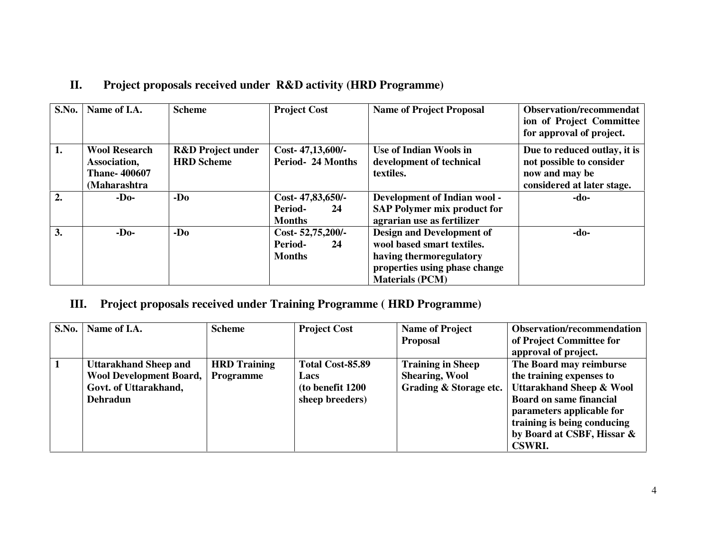| S.No. | Name of I.A.                                                                | <b>Scheme</b>                                     | <b>Project Cost</b>                                       | <b>Name of Project Proposal</b>                                                                                                                      | <b>Observation/recommendat</b><br>ion of Project Committee<br>for approval of project.                   |
|-------|-----------------------------------------------------------------------------|---------------------------------------------------|-----------------------------------------------------------|------------------------------------------------------------------------------------------------------------------------------------------------------|----------------------------------------------------------------------------------------------------------|
| 1.    | <b>Wool Research</b><br>Association,<br><b>Thane-400607</b><br>(Maharashtra | <b>R&amp;D</b> Project under<br><b>HRD</b> Scheme | Cost-47,13,600/-<br>Period-24 Months                      | Use of Indian Wools in<br>development of technical<br>textiles.                                                                                      | Due to reduced outlay, it is<br>not possible to consider<br>now and may be<br>considered at later stage. |
| 2.    | $-D0$                                                                       | $-Do$                                             | Cost-47,83,650/-<br><b>Period-</b><br>24<br><b>Months</b> | Development of Indian wool -<br><b>SAP Polymer mix product for</b><br>agrarian use as fertilizer                                                     | -do-                                                                                                     |
| 3.    | $-D0$                                                                       | $-Do$                                             | Cost-52,75,200/-<br>Period-<br>24<br><b>Months</b>        | <b>Design and Development of</b><br>wool based smart textiles.<br>having thermoregulatory<br>properties using phase change<br><b>Materials (PCM)</b> | $-do-$                                                                                                   |

# **II. Project proposals received under R&D activity (HRD Programme)**

#### **III. Project proposals received under Training Programme ( HRD Programme)**

| S.No. | Name of I.A.                   | <b>Scheme</b>       | <b>Project Cost</b> | <b>Name of Project</b>   | <b>Observation/recommendation</b>   |
|-------|--------------------------------|---------------------|---------------------|--------------------------|-------------------------------------|
|       |                                |                     |                     | <b>Proposal</b>          | of Project Committee for            |
|       |                                |                     |                     |                          | approval of project.                |
|       | <b>Uttarakhand Sheep and</b>   | <b>HRD</b> Training | Total Cost-85.89    | <b>Training in Sheep</b> | The Board may reimburse             |
|       | <b>Wool Development Board,</b> | <b>Programme</b>    | Lacs                | <b>Shearing, Wool</b>    | the training expenses to            |
|       | Govt. of Uttarakhand,          |                     | (to benefit 1200)   | Grading & Storage etc.   | <b>Uttarakhand Sheep &amp; Wool</b> |
|       | <b>Dehradun</b>                |                     | sheep breeders)     |                          | <b>Board on same financial</b>      |
|       |                                |                     |                     |                          | parameters applicable for           |
|       |                                |                     |                     |                          | training is being conducing         |
|       |                                |                     |                     |                          | by Board at CSBF, Hissar &          |
|       |                                |                     |                     |                          | <b>CSWRI.</b>                       |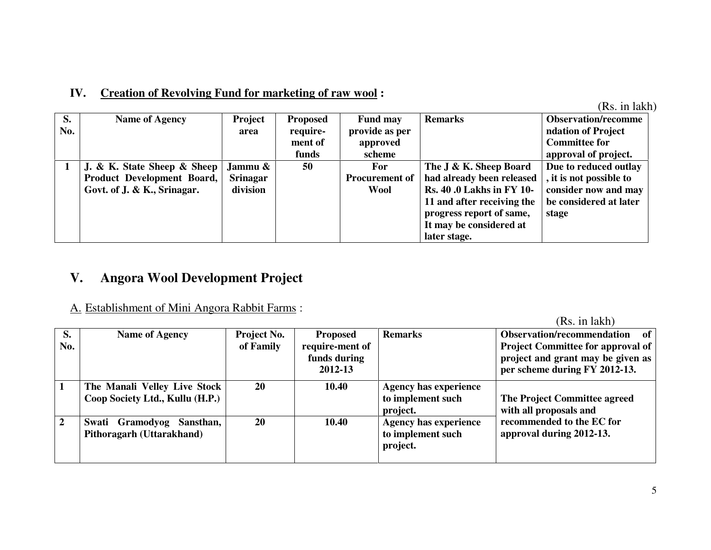# **IV. Creation of Revolving Fund for marketing of raw wool :**

(Rs. in lakh)

| S.  | <b>Name of Agency</b>       | Project         | <b>Proposed</b> | <b>Fund may</b>       | <b>Remarks</b>                  | <b>Observation/recomme</b> |
|-----|-----------------------------|-----------------|-----------------|-----------------------|---------------------------------|----------------------------|
| No. |                             | area            | require-        | provide as per        |                                 | ndation of Project         |
|     |                             |                 | ment of         | approved              |                                 | <b>Committee for</b>       |
|     |                             |                 | funds           | scheme                |                                 | approval of project.       |
|     | J. & K. State Sheep & Sheep | Jammu &         | 50              | For                   | The J & K. Sheep Board          | Due to reduced outlay      |
|     | Product Development Board,  | <b>Srinagar</b> |                 | <b>Procurement of</b> | had already been released       | , it is not possible to    |
|     | Govt. of J. & K., Srinagar. | division        |                 | <b>Wool</b>           | <b>Rs. 40.0 Lakhs in FY 10-</b> | consider now and may       |
|     |                             |                 |                 |                       | 11 and after receiving the      | be considered at later     |
|     |                             |                 |                 |                       | progress report of same,        | stage                      |
|     |                             |                 |                 |                       | It may be considered at         |                            |
|     |                             |                 |                 |                       | later stage.                    |                            |

#### **V.Angora Wool Development Project**

## A. Establishment of Mini Angora Rabbit Farms :

| S.<br>No.      | <b>Name of Agency</b>                                           | <b>Project No.</b><br>of Family | <b>Proposed</b><br>require-ment of<br>funds during<br>2012-13 | <b>Remarks</b>                                                | Observation/recommendation<br>- of<br><b>Project Committee for approval of</b><br>project and grant may be given as<br>per scheme during FY 2012-13. |
|----------------|-----------------------------------------------------------------|---------------------------------|---------------------------------------------------------------|---------------------------------------------------------------|------------------------------------------------------------------------------------------------------------------------------------------------------|
|                | The Manali Velley Live Stock<br>Coop Society Ltd., Kullu (H.P.) | 20                              | 10.40                                                         | <b>Agency has experience</b><br>to implement such<br>project. | The Project Committee agreed<br>with all proposals and                                                                                               |
| $\overline{2}$ | Gramodyog<br>Sansthan,<br>Swati<br>Pithoragarh (Uttarakhand)    | 20                              | 10.40                                                         | <b>Agency has experience</b><br>to implement such<br>project. | recommended to the EC for<br>approval during 2012-13.                                                                                                |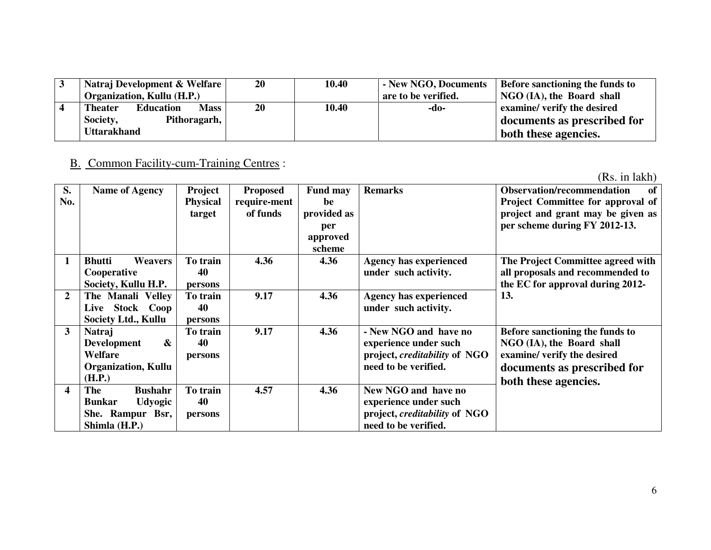| Natraj Development & Welfare               | 20 | 10.40 | - New NGO, Documents | Before sanctioning the funds to |
|--------------------------------------------|----|-------|----------------------|---------------------------------|
| <b>Organization, Kullu (H.P.)</b>          |    |       | are to be verified.  | NGO (IA), the Board shall       |
| <b>Mass</b><br><b>Theater</b><br>Education | 20 | 10.40 | -do-                 | examine/ verify the desired     |
| Society,<br>Pithoragarh,                   |    |       |                      | documents as prescribed for     |
| <b>Uttarakhand</b>                         |    |       |                      | both these agencies.            |

## B. Common Facility-cum-Training Centres :

| S.               | <b>Name of Agency</b>                                                                                    | Project                   | <b>Proposed</b>          | <b>Fund may</b>                                | <b>Remarks</b>                                                                                                 | Observation/recommendation<br>of                                                                                                                   |
|------------------|----------------------------------------------------------------------------------------------------------|---------------------------|--------------------------|------------------------------------------------|----------------------------------------------------------------------------------------------------------------|----------------------------------------------------------------------------------------------------------------------------------------------------|
| No.              |                                                                                                          | <b>Physical</b><br>target | require-ment<br>of funds | be<br>provided as<br>per<br>approved<br>scheme |                                                                                                                | Project Committee for approval of<br>project and grant may be given as<br>per scheme during FY 2012-13.                                            |
|                  | <b>Bhutti</b><br><b>Weavers</b><br>Cooperative<br>Society, Kullu H.P.                                    | To train<br>40<br>persons | 4.36                     | 4.36                                           | <b>Agency has experienced</b><br>under such activity.                                                          | The Project Committee agreed with<br>all proposals and recommended to<br>the EC for approval during 2012-                                          |
| $\overline{2}$   | The Manali Velley<br>Live Stock Coop<br>Society Ltd., Kullu                                              | To train<br>40<br>persons | 9.17                     | 4.36                                           | <b>Agency has experienced</b><br>under such activity.                                                          | 13.                                                                                                                                                |
| 3                | Natraj<br>$\boldsymbol{\alpha}$<br><b>Development</b><br>Welfare<br><b>Organization, Kullu</b><br>(H.P.) | To train<br>40<br>persons | 9.17                     | 4.36                                           | - New NGO and have no<br>experience under such<br>project, <i>creditability</i> of NGO<br>need to be verified. | Before sanctioning the funds to<br>NGO (IA), the Board shall<br>examine/ verify the desired<br>documents as prescribed for<br>both these agencies. |
| $\boldsymbol{4}$ | <b>Bushahr</b><br>The<br><b>Udyogic</b><br><b>Bunkar</b><br>She. Rampur Bsr,<br>Shimla (H.P.)            | To train<br>40<br>persons | 4.57                     | 4.36                                           | New NGO and have no<br>experience under such<br>project, <i>creditability</i> of NGO<br>need to be verified.   |                                                                                                                                                    |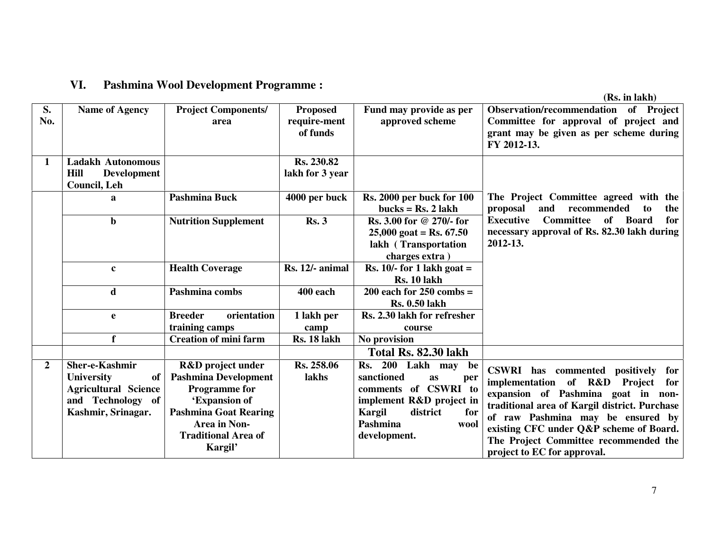#### **VI. Pashmina Wool Development Programme :**

| S.<br>No.      | <b>Name of Agency</b>                                                                                        | <b>Project Components/</b><br>area                                                                                                                                                                   | <b>Proposed</b><br>require-ment<br>of funds | Fund may provide as per<br>approved scheme                                                                                                                                       | Observation/recommendation of Project<br>Committee for approval of project and<br>grant may be given as per scheme during<br>FY 2012-13.                                                                                                                                                                               |
|----------------|--------------------------------------------------------------------------------------------------------------|------------------------------------------------------------------------------------------------------------------------------------------------------------------------------------------------------|---------------------------------------------|----------------------------------------------------------------------------------------------------------------------------------------------------------------------------------|------------------------------------------------------------------------------------------------------------------------------------------------------------------------------------------------------------------------------------------------------------------------------------------------------------------------|
| $\mathbf{1}$   | <b>Ladakh Autonomous</b><br>Hill<br><b>Development</b><br>Council, Leh                                       |                                                                                                                                                                                                      | Rs. 230.82<br>lakh for 3 year               |                                                                                                                                                                                  |                                                                                                                                                                                                                                                                                                                        |
|                | a                                                                                                            | <b>Pashmina Buck</b>                                                                                                                                                                                 | 4000 per buck                               | <b>Rs. 2000 per buck for 100</b><br>bucks = $\text{Rs. 2}$ lakh                                                                                                                  | The Project Committee agreed with the<br>proposal<br>recommended<br>and<br>to<br>the                                                                                                                                                                                                                                   |
|                | $\mathbf b$                                                                                                  | <b>Nutrition Supplement</b>                                                                                                                                                                          | Rs.3                                        | Rs. 3.00 for @ 270/- for<br>$25,000$ goat = Rs. 67.50<br>lakh (Transportation<br>charges extra)                                                                                  | <b>Executive</b><br><b>Committee</b><br>of<br><b>Board</b><br>for<br>necessary approval of Rs. 82.30 lakh during<br>2012-13.                                                                                                                                                                                           |
|                | $\mathbf c$                                                                                                  | <b>Health Coverage</b>                                                                                                                                                                               | Rs. 12/- animal                             | Rs. $10/-$ for 1 lakh goat =<br><b>Rs. 10 lakh</b>                                                                                                                               |                                                                                                                                                                                                                                                                                                                        |
|                | d                                                                                                            | Pashmina combs                                                                                                                                                                                       | 400 each                                    | $200$ each for $250$ combs =<br><b>Rs. 0.50 lakh</b>                                                                                                                             |                                                                                                                                                                                                                                                                                                                        |
|                | e                                                                                                            | <b>Breeder</b><br>orientation<br>training camps                                                                                                                                                      | 1 lakh per<br>camp                          | Rs. 2.30 lakh for refresher<br>course                                                                                                                                            |                                                                                                                                                                                                                                                                                                                        |
|                | f                                                                                                            | <b>Creation of mini farm</b>                                                                                                                                                                         | Rs. 18 lakh                                 | No provision                                                                                                                                                                     |                                                                                                                                                                                                                                                                                                                        |
|                |                                                                                                              |                                                                                                                                                                                                      |                                             | Total Rs. 82.30 lakh                                                                                                                                                             |                                                                                                                                                                                                                                                                                                                        |
| $\overline{2}$ | Sher-e-Kashmir<br>University<br>of<br><b>Agricultural Science</b><br>and Technology of<br>Kashmir, Srinagar. | <b>R&amp;D</b> project under<br><b>Pashmina Development</b><br><b>Programme</b> for<br>'Expansion of<br><b>Pashmina Goat Rearing</b><br><b>Area in Non-</b><br><b>Traditional Area of</b><br>Kargil' | Rs. 258.06<br>lakhs                         | 200 Lakh may<br>Rs.<br>be<br>sanctioned<br><b>as</b><br>per<br>comments of CSWRI to<br>implement R&D project in<br>Kargil<br>district<br>for<br>Pashmina<br>wool<br>development. | CSWRI has commented positively for<br>implementation of R&D Project for<br>expansion of Pashmina goat in non-<br>traditional area of Kargil district. Purchase<br>of raw Pashmina may be ensured by<br>existing CFC under Q&P scheme of Board.<br>The Project Committee recommended the<br>project to EC for approval. |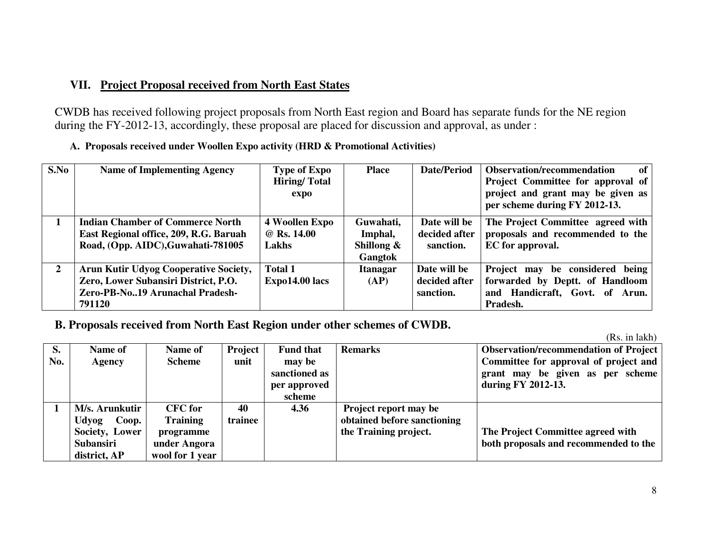### **VII. Project Proposal received from North East States**

CWDB has received following project proposals from North East region and Board has separate funds for the NE region during the FY-2012-13, accordingly, these proposal are placed for discussion and approval, as under :

|  |  |  |  | A. Proposals received under Woollen Expo activity (HRD & Promotional Activities) |  |
|--|--|--|--|----------------------------------------------------------------------------------|--|
|--|--|--|--|----------------------------------------------------------------------------------|--|

| S.No         | <b>Name of Implementing Agency</b>                                                                                                | <b>Type of Expo</b><br><b>Hiring/Total</b><br>expo | <b>Place</b>                                            | Date/Period                                | <b>Observation/recommendation</b><br>of<br><b>Project Committee for approval of</b><br>project and grant may be given as<br>per scheme during FY 2012-13. |
|--------------|-----------------------------------------------------------------------------------------------------------------------------------|----------------------------------------------------|---------------------------------------------------------|--------------------------------------------|-----------------------------------------------------------------------------------------------------------------------------------------------------------|
|              | <b>Indian Chamber of Commerce North</b><br>East Regional office, 209, R.G. Baruah<br>Road, (Opp. AIDC), Guwahati-781005           | 4 Woollen Expo<br>@ Rs. 14.00<br>Lakhs             | Guwahati,<br>Imphal,<br>Shillong $\&$<br><b>Gangtok</b> | Date will be<br>decided after<br>sanction. | The Project Committee agreed with<br>proposals and recommended to the<br>EC for approval.                                                                 |
| $\mathbf{2}$ | <b>Arun Kutir Udyog Cooperative Society,</b><br>Zero, Lower Subansiri District, P.O.<br>Zero-PB-No19 Arunachal Pradesh-<br>791120 | <b>Total 1</b><br>$Expo14.00$ lacs                 | <b>Itanagar</b><br>(AP)                                 | Date will be<br>decided after<br>sanction. | Project may be considered being<br>forwarded by Deptt. of Handloom<br>and Handicraft, Govt. of Arun.<br>Pradesh.                                          |

**B. Proposals received from North East Region under other schemes of CWDB.** 

|     |                  |                 |         |                  |                             | $\mathbf{r}$                                 |
|-----|------------------|-----------------|---------|------------------|-----------------------------|----------------------------------------------|
| S.  | Name of          | Name of         | Project | <b>Fund that</b> | <b>Remarks</b>              | <b>Observation/recommendation of Project</b> |
| No. | Agency           | <b>Scheme</b>   | unit    | may be           |                             | Committee for approval of project and        |
|     |                  |                 |         | sanctioned as    |                             | grant may be given as per scheme             |
|     |                  |                 |         | per approved     |                             | during FY 2012-13.                           |
|     |                  |                 |         | scheme           |                             |                                              |
|     | M/s. Arunkutir   | <b>CFC</b> for  | 40      | 4.36             | Project report may be       |                                              |
|     | Udyog<br>Coop.   | <b>Training</b> | trainee |                  | obtained before sanctioning |                                              |
|     | Society, Lower   | programme       |         |                  | the Training project.       | The Project Committee agreed with            |
|     | <b>Subansiri</b> | under Angora    |         |                  |                             | both proposals and recommended to the        |
|     | district, AP     | wool for 1 year |         |                  |                             |                                              |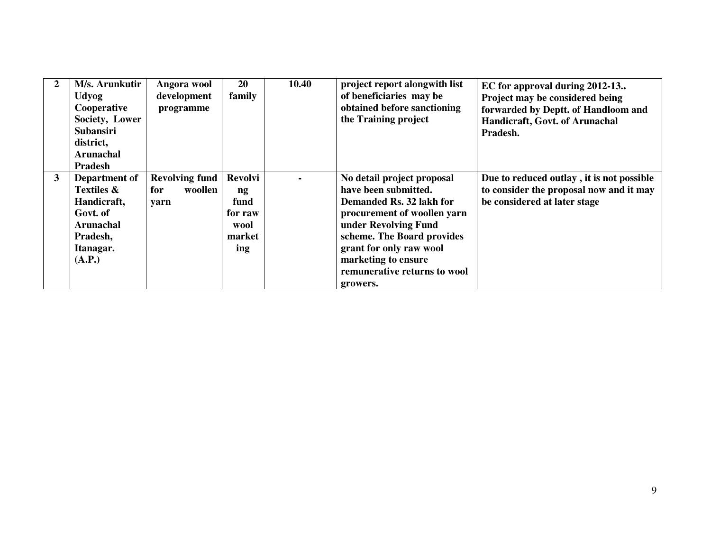| $\boldsymbol{2}$ | M/s. Arunkutir<br><b>Udyog</b><br>Cooperative<br>Society, Lower<br><b>Subansiri</b><br>district,<br><b>Arunachal</b><br><b>Pradesh</b> | Angora wool<br>development<br>programme         | <b>20</b><br>family                                                  | 10.40 | project report alongwith list<br>of beneficiaries may be<br>obtained before sanctioning<br>the Training project                                                                                                                                                   | EC for approval during 2012-13<br>Project may be considered being<br>forwarded by Deptt. of Handloom and<br>Handicraft, Govt. of Arunachal<br>Pradesh. |
|------------------|----------------------------------------------------------------------------------------------------------------------------------------|-------------------------------------------------|----------------------------------------------------------------------|-------|-------------------------------------------------------------------------------------------------------------------------------------------------------------------------------------------------------------------------------------------------------------------|--------------------------------------------------------------------------------------------------------------------------------------------------------|
| 3                | Department of<br><b>Textiles &amp;</b><br>Handicraft,<br>Govt. of<br><b>Arunachal</b><br>Pradesh,<br>Itanagar.<br>(A.P.)               | <b>Revolving fund</b><br>woollen<br>for<br>yarn | Revolvi<br>$\mathbf{ng}$<br>fund<br>for raw<br>wool<br>market<br>ing |       | No detail project proposal<br>have been submitted.<br>Demanded Rs. 32 lakh for<br>procurement of woollen yarn<br>under Revolving Fund<br>scheme. The Board provides<br>grant for only raw wool<br>marketing to ensure<br>remunerative returns to wool<br>growers. | Due to reduced outlay, it is not possible<br>to consider the proposal now and it may<br>be considered at later stage                                   |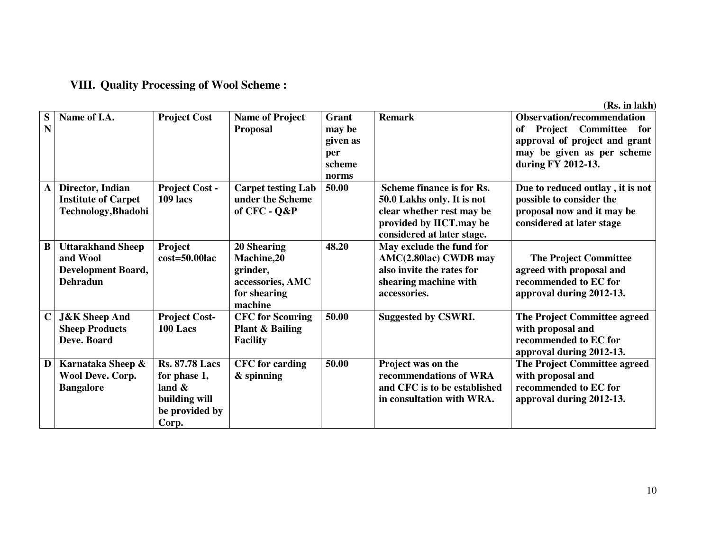#### **VIII. Quality Processing of Wool Scheme :**

| S            | Name of I.A.               | <b>Project Cost</b>   | <b>Name of Project</b>     | Grant    | <b>Remark</b>                | <b>Observation/recommendation</b>   |
|--------------|----------------------------|-----------------------|----------------------------|----------|------------------------------|-------------------------------------|
| N            |                            |                       | <b>Proposal</b>            | may be   |                              | Project Committee<br>of<br>for      |
|              |                            |                       |                            | given as |                              | approval of project and grant       |
|              |                            |                       |                            | per      |                              | may be given as per scheme          |
|              |                            |                       |                            | scheme   |                              | during FY 2012-13.                  |
|              |                            |                       |                            | norms    |                              |                                     |
| $\mathbf{A}$ | Director, Indian           | <b>Project Cost -</b> | <b>Carpet testing Lab</b>  | 50.00    | Scheme finance is for Rs.    | Due to reduced outlay, it is not    |
|              | <b>Institute of Carpet</b> | 109 lacs              | under the Scheme           |          | 50.0 Lakhs only. It is not   | possible to consider the            |
|              | Technology, Bhadohi        |                       | of CFC - Q&P               |          | clear whether rest may be    | proposal now and it may be          |
|              |                            |                       |                            |          | provided by IICT.may be      | considered at later stage           |
|              |                            |                       |                            |          | considered at later stage.   |                                     |
| B            | <b>Uttarakhand Sheep</b>   | Project               | 20 Shearing                | 48.20    | May exclude the fund for     |                                     |
|              | and Wool                   | $cost = 50.00$ lac    | <b>Machine,20</b>          |          | AMC(2.80lac) CWDB may        | <b>The Project Committee</b>        |
|              | <b>Development Board,</b>  |                       | grinder,                   |          | also invite the rates for    | agreed with proposal and            |
|              | <b>Dehradun</b>            |                       | accessories, AMC           |          | shearing machine with        | recommended to EC for               |
|              |                            |                       | for shearing               |          | accessories.                 | approval during 2012-13.            |
|              |                            |                       | machine                    |          |                              |                                     |
| $\mathbf C$  | <b>J&amp;K</b> Sheep And   | <b>Project Cost-</b>  | <b>CFC</b> for Scouring    | 50.00    | <b>Suggested by CSWRI.</b>   | <b>The Project Committee agreed</b> |
|              | <b>Sheep Products</b>      | 100 Lacs              | <b>Plant &amp; Bailing</b> |          |                              | with proposal and                   |
|              | Deve. Board                |                       | <b>Facility</b>            |          |                              | recommended to EC for               |
|              |                            |                       |                            |          |                              | approval during 2012-13.            |
| D            | Karnataka Sheep &          | <b>Rs. 87.78 Lacs</b> | <b>CFC</b> for carding     | 50.00    | Project was on the           | <b>The Project Committee agreed</b> |
|              | Wool Deve. Corp.           | for phase 1,          | & spinning                 |          | recommendations of WRA       | with proposal and                   |
|              | <b>Bangalore</b>           | land $\&$             |                            |          | and CFC is to be established | recommended to EC for               |
|              |                            | building will         |                            |          | in consultation with WRA.    | approval during 2012-13.            |
|              |                            | be provided by        |                            |          |                              |                                     |
|              |                            | Corp.                 |                            |          |                              |                                     |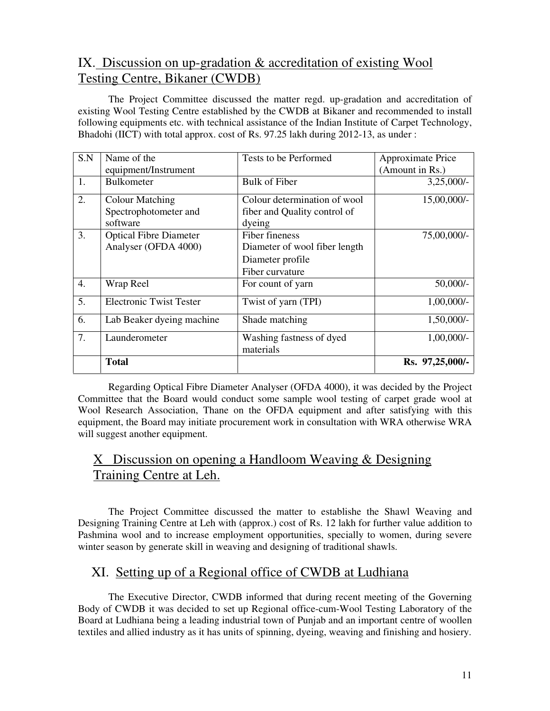# IX. Discussion on up-gradation & accreditation of existing Wool Testing Centre, Bikaner (CWDB)

The Project Committee discussed the matter regd. up-gradation and accreditation of existing Wool Testing Centre established by the CWDB at Bikaner and recommended to install following equipments etc. with technical assistance of the Indian Institute of Carpet Technology, Bhadohi (IICT) with total approx. cost of Rs. 97.25 lakh during 2012-13, as under :

| S.N              | Name of the                    | Tests to be Performed                 | Approximate Price |
|------------------|--------------------------------|---------------------------------------|-------------------|
|                  | equipment/Instrument           |                                       | (Amount in Rs.)   |
| 1.               | <b>Bulkometer</b>              | Bulk of Fiber                         | $3,25,000/-$      |
| 2.               | <b>Colour Matching</b>         | Colour determination of wool          | $15,00,000/-$     |
|                  | Spectrophotometer and          | fiber and Quality control of          |                   |
|                  | software                       | dyeing                                |                   |
| 3.               | <b>Optical Fibre Diameter</b>  | Fiber fineness                        | 75,00,000/-       |
|                  | Analyser (OFDA 4000)           | Diameter of wool fiber length         |                   |
|                  |                                | Diameter profile                      |                   |
|                  |                                | Fiber curvature                       |                   |
| $\overline{4}$ . | Wrap Reel                      | For count of yarn                     | $50,000/-$        |
| 5.               | <b>Electronic Twist Tester</b> | Twist of yarn (TPI)                   | $1,00,000/-$      |
| 6.               | Lab Beaker dyeing machine      | Shade matching                        | $1,50,000/-$      |
| 7.               | Launderometer                  | Washing fastness of dyed<br>materials | $1,00,000/-$      |
|                  | <b>Total</b>                   |                                       | Rs. 97,25,000/-   |

 Regarding Optical Fibre Diameter Analyser (OFDA 4000), it was decided by the Project Committee that the Board would conduct some sample wool testing of carpet grade wool at Wool Research Association, Thane on the OFDA equipment and after satisfying with this equipment, the Board may initiate procurement work in consultation with WRA otherwise WRA will suggest another equipment.

# X Discussion on opening a Handloom Weaving & Designing Training Centre at Leh.

The Project Committee discussed the matter to establishe the Shawl Weaving and Designing Training Centre at Leh with (approx.) cost of Rs. 12 lakh for further value addition to Pashmina wool and to increase employment opportunities, specially to women, during severe winter season by generate skill in weaving and designing of traditional shawls.

# XI. Setting up of a Regional office of CWDB at Ludhiana

The Executive Director, CWDB informed that during recent meeting of the Governing Body of CWDB it was decided to set up Regional office-cum-Wool Testing Laboratory of the Board at Ludhiana being a leading industrial town of Punjab and an important centre of woollen textiles and allied industry as it has units of spinning, dyeing, weaving and finishing and hosiery.